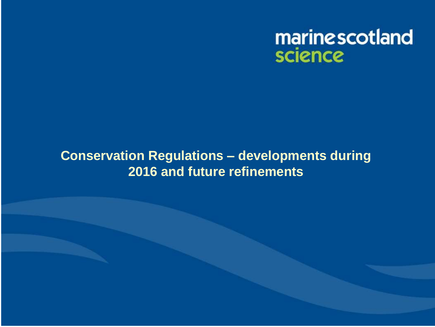

#### **Conservation Regulations – developments during 2016 and future refinements**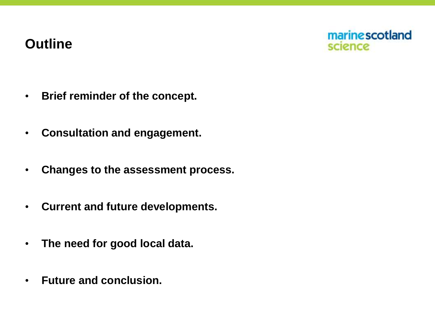#### **Outline**



- **• Brief reminder of the concept.**
- **• Consultation and engagement.**
- **• Changes to the assessment process.**
- **• Current and future developments.**
- **• The need for good local data.**
- **• Future and conclusion.**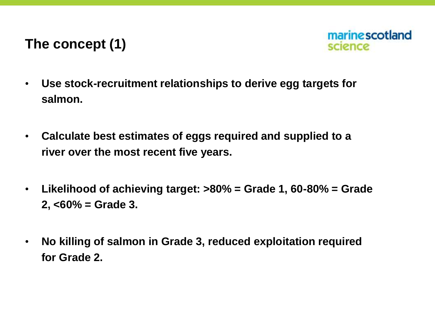## **The concept (1)**



- **• Use stock-recruitment relationships to derive egg targets for salmon.**
- **• Calculate best estimates of eggs required and supplied to a river over the most recent five years.**
- **• Likelihood of achieving target: >80% = Grade 1, 60-80% = Grade 2, <60% = Grade 3.**
- **• No killing of salmon in Grade 3, reduced exploitation required for Grade 2.**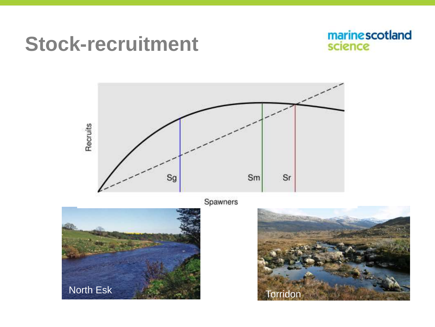# **Stock-recruitment**





Spawners



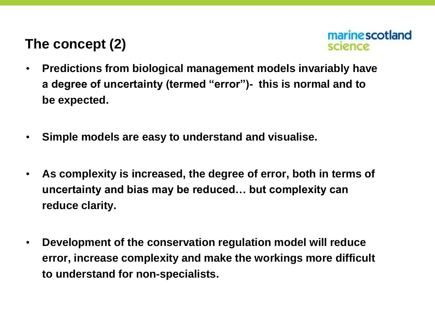## **The concept (2)**



- **• Predictions from biological management models invariably have a degree of uncertainty (termed "error")- this is normal and to be expected.**
- **• Simple models are easy to understand and visualise.**
- **• As complexity is increased, the degree of error, both in terms of uncertainty and bias may be reduced… but complexity can reduce clarity.**
- **• Development of the conservation regulation model will reduce error, increase complexity and make the workings more difficult to understand for non-specialists.**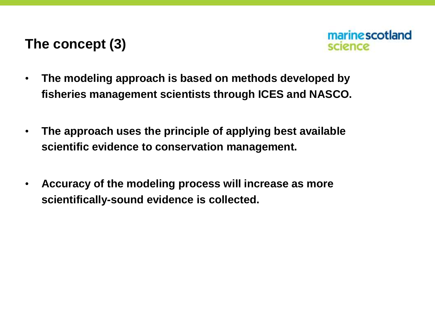#### **The concept (3)**



- **• The modeling approach is based on methods developed by fisheries management scientists through ICES and NASCO.**
- **• The approach uses the principle of applying best available scientific evidence to conservation management.**
- **• Accuracy of the modeling process will increase as more scientifically-sound evidence is collected.**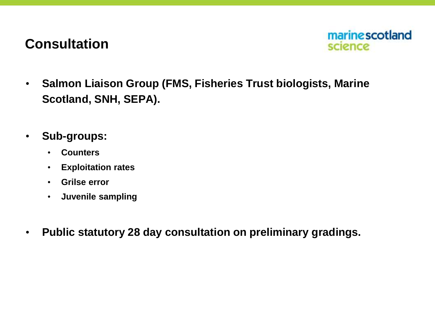#### **Consultation**



- **• Salmon Liaison Group (FMS, Fisheries Trust biologists, Marine Scotland, SNH, SEPA).**
- **• Sub-groups:**
	- **• Counters**
	- **• Exploitation rates**
	- **• Grilse error**
	- **• Juvenile sampling**
- **• Public statutory 28 day consultation on preliminary gradings.**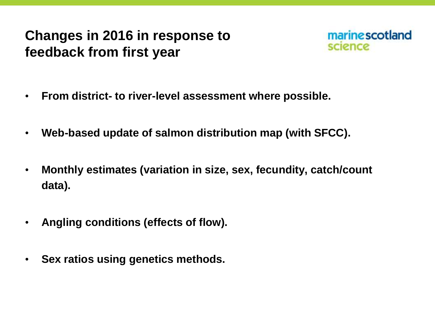## **Changes in 2016 in response to feedback from first year**



- **• From district- to river-level assessment where possible.**
- **• Web-based update of salmon distribution map (with SFCC).**
- **• Monthly estimates (variation in size, sex, fecundity, catch/count data).**
- **• Angling conditions (effects of flow).**
- **• Sex ratios using genetics methods.**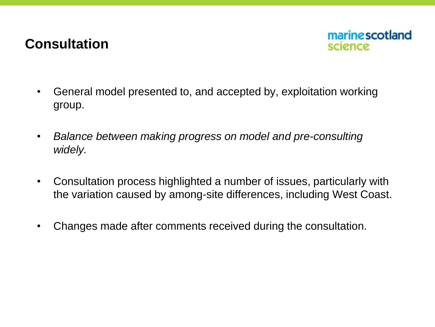#### **Consultation**



- General model presented to, and accepted by, exploitation working group.
- *Balance between making progress on model and pre-consulting widely.*
- Consultation process highlighted a number of issues, particularly with the variation caused by among-site differences, including West Coast.
- Changes made after comments received during the consultation.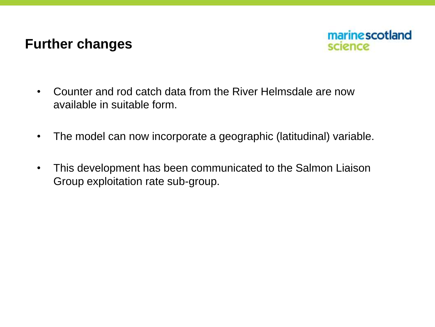#### **Further changes**



- Counter and rod catch data from the River Helmsdale are now available in suitable form.
- The model can now incorporate a geographic (latitudinal) variable.
- This development has been communicated to the Salmon Liaison Group exploitation rate sub-group.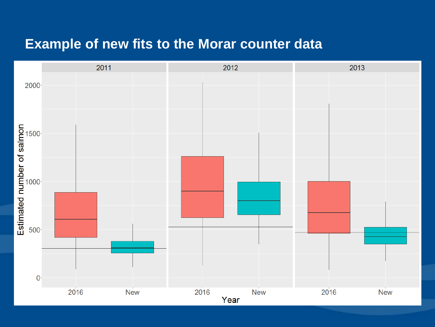#### **Example of new fits to the Morar counter data**

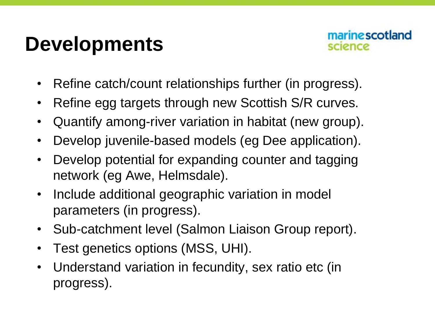# **Developments**



- Refine catch/count relationships further (in progress).
- Refine egg targets through new Scottish S/R curves.
- Quantify among-river variation in habitat (new group).
- Develop juvenile-based models (eg Dee application).
- Develop potential for expanding counter and tagging network (eg Awe, Helmsdale).
- Include additional geographic variation in model parameters (in progress).
- Sub-catchment level (Salmon Liaison Group report).
- Test genetics options (MSS, UHI).
- Understand variation in fecundity, sex ratio etc (in progress).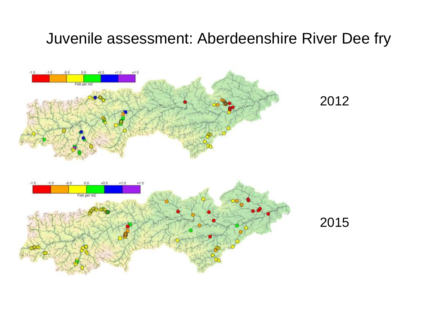### Juvenile assessment: Aberdeenshire River Dee fry

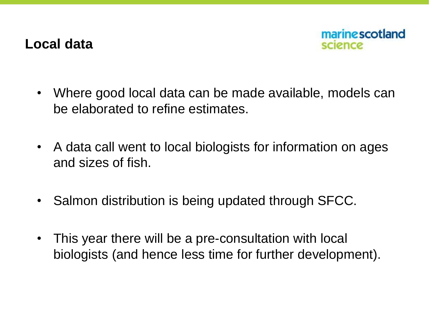#### **Local data**



- Where good local data can be made available, models can be elaborated to refine estimates.
- A data call went to local biologists for information on ages and sizes of fish.
- Salmon distribution is being updated through SFCC.
- This year there will be a pre-consultation with local biologists (and hence less time for further development).